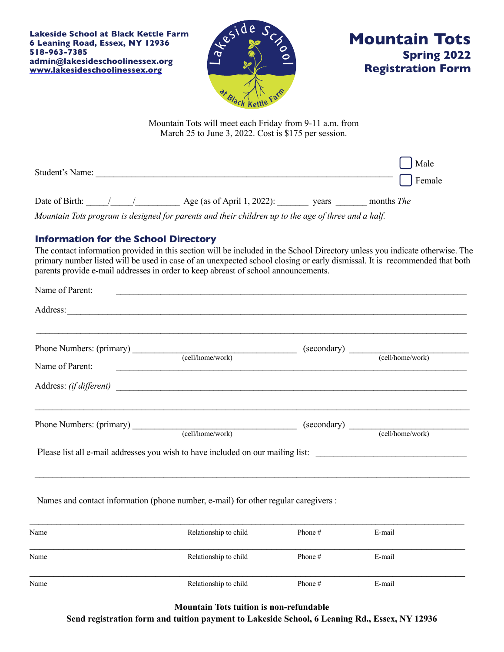**Lakeside School at Black Kettle Farm 6 Leaning Road, Essex, NY 12936 518-963-7385 admin@lakesideschoolinessex.org [www.lakesideschoolinessex.org](http://www.lakesideschoolinessex.org)**





Mountain Tots will meet each Friday from 9-11 a.m. from March 25 to June 3, 2022. Cost is \$175 per session.

| Student's Name: |  |                            |       | Male<br>Female    |  |
|-----------------|--|----------------------------|-------|-------------------|--|
| Date of Birth:  |  | Age (as of April 1, 2022): | vears | months <i>The</i> |  |

*Mountain Tots program is designed for parents and their children up to the age of three and a half.* 

## **Information for the School Directory**

The contact information provided in this section will be included in the School Directory unless you indicate otherwise. The primary number listed will be used in case of an unexpected school closing or early dismissal. It is recommended that both parents provide e-mail addresses in order to keep abreast of school announcements.

| Name of Parent:                                                                 |                  |             |                  |  |  |  |
|---------------------------------------------------------------------------------|------------------|-------------|------------------|--|--|--|
| Address:                                                                        |                  |             |                  |  |  |  |
|                                                                                 | (cell/home/work) |             |                  |  |  |  |
| Name of Parent:<br>Address: <i>(if different)</i>                               |                  |             |                  |  |  |  |
| Phone Numbers: (primary)                                                        | (cell/home/work) | (secondary) | (cell/home/work) |  |  |  |
| Please list all e-mail addresses you wish to have included on our mailing list: |                  |             |                  |  |  |  |

 $\_$  , and the state of the state of the state of the state of the state of the state of the state of the state of the state of the state of the state of the state of the state of the state of the state of the state of the

Names and contact information (phone number, e-mail) for other regular caregivers :

| Name | Relationship to child | Phone #   | E-mail |
|------|-----------------------|-----------|--------|
| Name | Relationship to child | Phone $#$ | E-mail |
| Name | Relationship to child | Phone $#$ | E-mail |

**Mountain Tots tuition is non-refundable** 

**Send registration form and tuition payment to Lakeside School, 6 Leaning Rd., Essex, NY 12936**